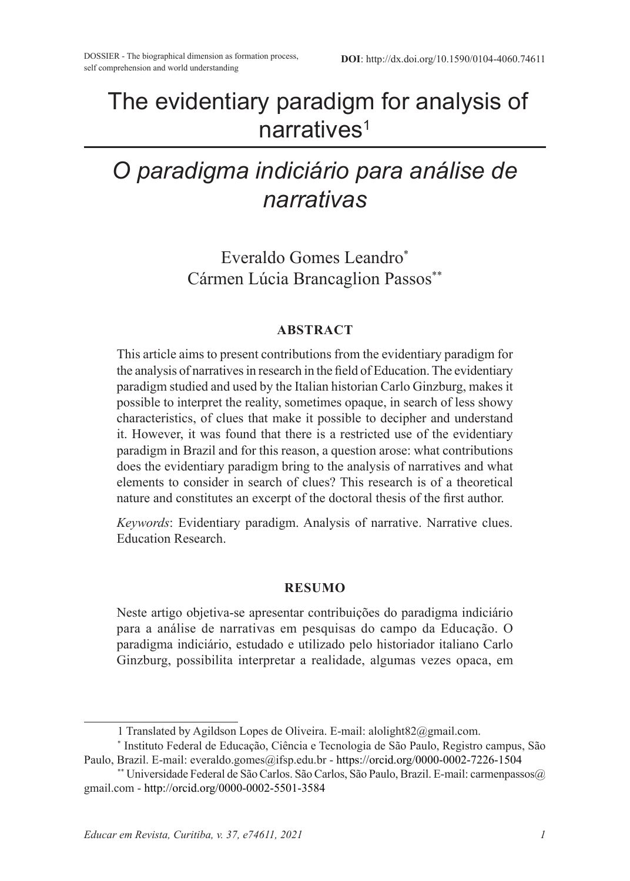# The evidentiary paradigm for analysis of narratives<sup>1</sup>

# *O paradigma indiciário para análise de narrativas*

Everaldo Gomes Leandro\* Cármen Lúcia Brancaglion Passos\*\*

#### **ABSTRACT**

This article aims to present contributions from the evidentiary paradigm for the analysis of narratives in research in the field of Education. The evidentiary paradigm studied and used by the Italian historian Carlo Ginzburg, makes it possible to interpret the reality, sometimes opaque, in search of less showy characteristics, of clues that make it possible to decipher and understand it. However, it was found that there is a restricted use of the evidentiary paradigm in Brazil and for this reason, a question arose: what contributions does the evidentiary paradigm bring to the analysis of narratives and what elements to consider in search of clues? This research is of a theoretical nature and constitutes an excerpt of the doctoral thesis of the first author.

*Keywords*: Evidentiary paradigm. Analysis of narrative. Narrative clues. Education Research.

#### **RESUMO**

Neste artigo objetiva-se apresentar contribuições do paradigma indiciário para a análise de narrativas em pesquisas do campo da Educação. O paradigma indiciário, estudado e utilizado pelo historiador italiano Carlo Ginzburg, possibilita interpretar a realidade, algumas vezes opaca, em

<sup>1</sup> Translated by Agildson Lopes de Oliveira. E-mail: alolight82@gmail.com.

<sup>\*</sup> Instituto Federal de Educação, Ciência e Tecnologia de São Paulo, Registro campus, São Paulo, Brazil. E-mail: everaldo.gomes@ifsp.edu.br - https://orcid.org/0000-0002-7226-1504

<sup>\*\*</sup> Universidade Federal de São Carlos. São Carlos, São Paulo, Brazil. E-mail: carmenpassos@ gmail.com - http://orcid.org/0000-0002-5501-3584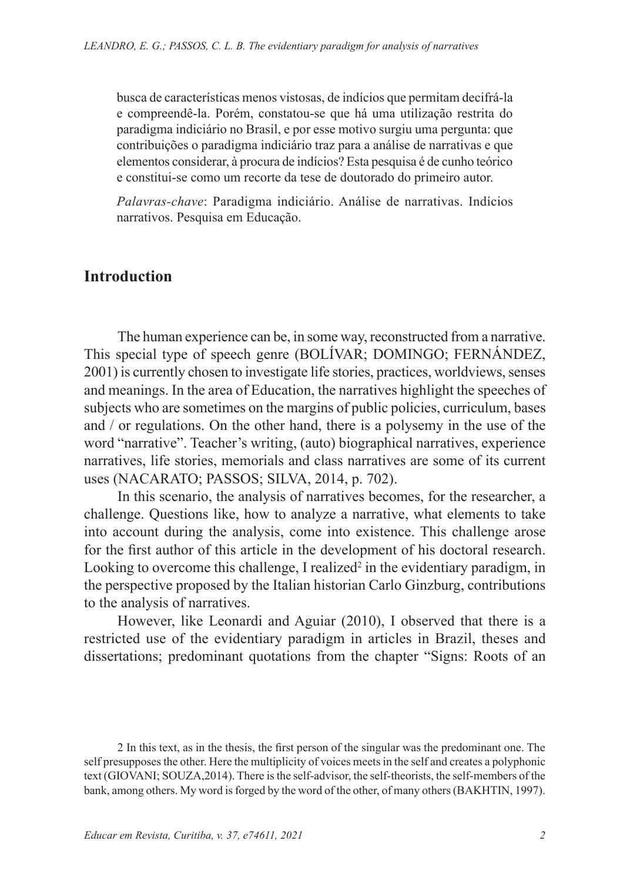busca de características menos vistosas, de indícios que permitam decifrá-la e compreendê-la. Porém, constatou-se que há uma utilização restrita do paradigma indiciário no Brasil, e por esse motivo surgiu uma pergunta: que contribuições o paradigma indiciário traz para a análise de narrativas e que elementos considerar, à procura de indícios? Esta pesquisa é de cunho teórico e constitui-se como um recorte da tese de doutorado do primeiro autor.

*Palavras-chave*: Paradigma indiciário. Análise de narrativas. Indícios narrativos. Pesquisa em Educação.

### **Introduction**

The human experience can be, in some way, reconstructed from a narrative. This special type of speech genre (BOLÍVAR; DOMINGO; FERNÁNDEZ, 2001) is currently chosen to investigate life stories, practices, worldviews, senses and meanings. In the area of Education, the narratives highlight the speeches of subjects who are sometimes on the margins of public policies, curriculum, bases and / or regulations. On the other hand, there is a polysemy in the use of the word "narrative". Teacher's writing, (auto) biographical narratives, experience narratives, life stories, memorials and class narratives are some of its current uses (NACARATO; PASSOS; SILVA, 2014, p. 702).

In this scenario, the analysis of narratives becomes, for the researcher, a challenge. Questions like, how to analyze a narrative, what elements to take into account during the analysis, come into existence. This challenge arose for the first author of this article in the development of his doctoral research. Looking to overcome this challenge, I realized<sup>2</sup> in the evidentiary paradigm, in the perspective proposed by the Italian historian Carlo Ginzburg, contributions to the analysis of narratives.

However, like Leonardi and Aguiar (2010), I observed that there is a restricted use of the evidentiary paradigm in articles in Brazil, theses and dissertations; predominant quotations from the chapter "Signs: Roots of an

2 In this text, as in the thesis, the first person of the singular was the predominant one. The self presupposes the other. Here the multiplicity of voices meets in the self and creates a polyphonic text (GIOVANI; SOUZA,2014). There is the self-advisor, the self-theorists, the self-members of the bank, among others. My word is forged by the word of the other, of many others (BAKHTIN, 1997).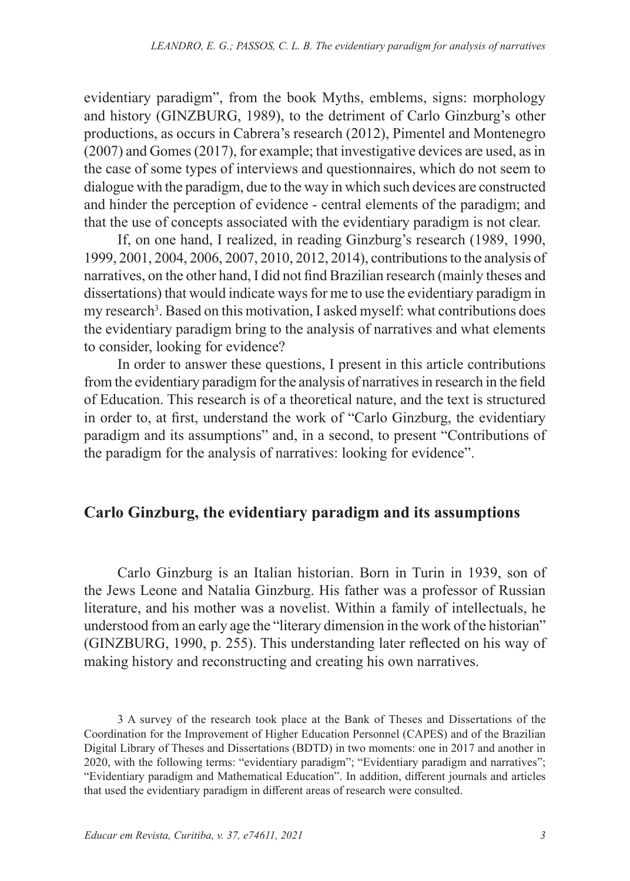evidentiary paradigm", from the book Myths, emblems, signs: morphology and history (GINZBURG, 1989), to the detriment of Carlo Ginzburg's other productions, as occurs in Cabrera's research (2012), Pimentel and Montenegro (2007) and Gomes (2017), for example; that investigative devices are used, as in the case of some types of interviews and questionnaires, which do not seem to dialogue with the paradigm, due to the way in which such devices are constructed and hinder the perception of evidence - central elements of the paradigm; and that the use of concepts associated with the evidentiary paradigm is not clear.

If, on one hand, I realized, in reading Ginzburg's research (1989, 1990, 1999, 2001, 2004, 2006, 2007, 2010, 2012, 2014), contributions to the analysis of narratives, on the other hand, I did not find Brazilian research (mainly theses and dissertations) that would indicate ways for me to use the evidentiary paradigm in my research<sup>3</sup>. Based on this motivation, I asked myself: what contributions does the evidentiary paradigm bring to the analysis of narratives and what elements to consider, looking for evidence?

In order to answer these questions, I present in this article contributions from the evidentiary paradigm for the analysis of narratives in research in the field of Education. This research is of a theoretical nature, and the text is structured in order to, at first, understand the work of "Carlo Ginzburg, the evidentiary paradigm and its assumptions" and, in a second, to present "Contributions of the paradigm for the analysis of narratives: looking for evidence".

## **Carlo Ginzburg, the evidentiary paradigm and its assumptions**

Carlo Ginzburg is an Italian historian. Born in Turin in 1939, son of the Jews Leone and Natalia Ginzburg. His father was a professor of Russian literature, and his mother was a novelist. Within a family of intellectuals, he understood from an early age the "literary dimension in the work of the historian" (GINZBURG, 1990, p. 255). This understanding later reflected on his way of making history and reconstructing and creating his own narratives.

<sup>3</sup> A survey of the research took place at the Bank of Theses and Dissertations of the Coordination for the Improvement of Higher Education Personnel (CAPES) and of the Brazilian Digital Library of Theses and Dissertations (BDTD) in two moments: one in 2017 and another in 2020, with the following terms: "evidentiary paradigm"; "Evidentiary paradigm and narratives"; "Evidentiary paradigm and Mathematical Education". In addition, different journals and articles that used the evidentiary paradigm in different areas of research were consulted.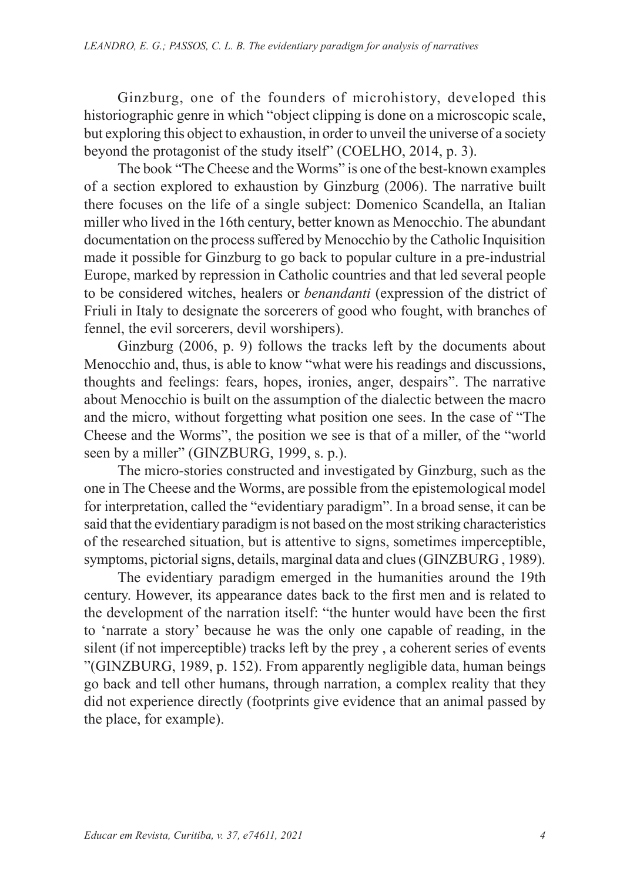Ginzburg, one of the founders of microhistory, developed this historiographic genre in which "object clipping is done on a microscopic scale, but exploring this object to exhaustion, in order to unveil the universe of a society beyond the protagonist of the study itself" (COELHO, 2014, p. 3).

The book "The Cheese and the Worms" is one of the best-known examples of a section explored to exhaustion by Ginzburg (2006). The narrative built there focuses on the life of a single subject: Domenico Scandella, an Italian miller who lived in the 16th century, better known as Menocchio. The abundant documentation on the process suffered by Menocchio by the Catholic Inquisition made it possible for Ginzburg to go back to popular culture in a pre-industrial Europe, marked by repression in Catholic countries and that led several people to be considered witches, healers or *benandanti* (expression of the district of Friuli in Italy to designate the sorcerers of good who fought, with branches of fennel, the evil sorcerers, devil worshipers).

Ginzburg (2006, p. 9) follows the tracks left by the documents about Menocchio and, thus, is able to know "what were his readings and discussions, thoughts and feelings: fears, hopes, ironies, anger, despairs". The narrative about Menocchio is built on the assumption of the dialectic between the macro and the micro, without forgetting what position one sees. In the case of "The Cheese and the Worms", the position we see is that of a miller, of the "world seen by a miller" (GINZBURG, 1999, s. p.).

The micro-stories constructed and investigated by Ginzburg, such as the one in The Cheese and the Worms, are possible from the epistemological model for interpretation, called the "evidentiary paradigm". In a broad sense, it can be said that the evidentiary paradigm is not based on the most striking characteristics of the researched situation, but is attentive to signs, sometimes imperceptible, symptoms, pictorial signs, details, marginal data and clues (GINZBURG , 1989).

The evidentiary paradigm emerged in the humanities around the 19th century. However, its appearance dates back to the first men and is related to the development of the narration itself: "the hunter would have been the first to 'narrate a story' because he was the only one capable of reading, in the silent (if not imperceptible) tracks left by the prey , a coherent series of events "(GINZBURG, 1989, p. 152). From apparently negligible data, human beings go back and tell other humans, through narration, a complex reality that they did not experience directly (footprints give evidence that an animal passed by the place, for example).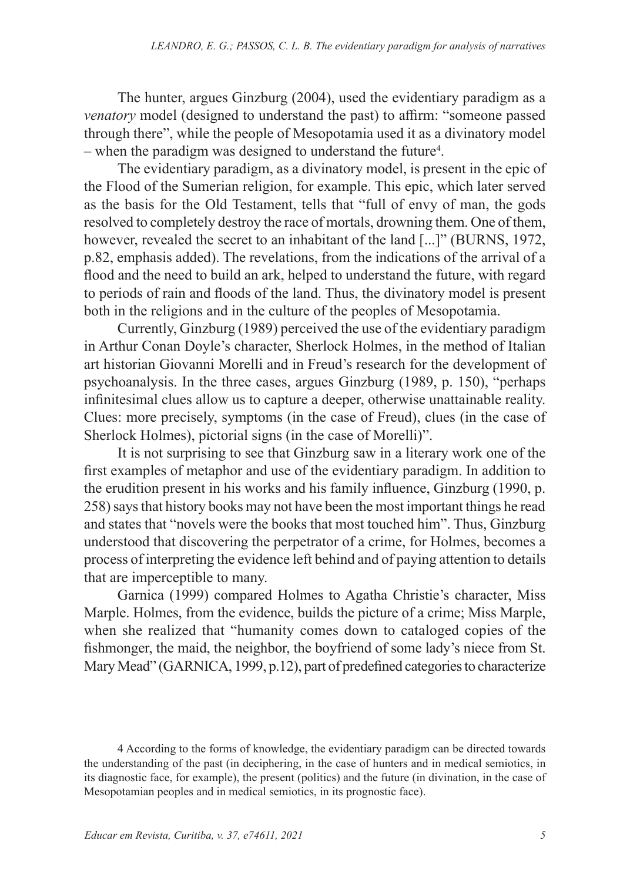The hunter, argues Ginzburg (2004), used the evidentiary paradigm as a *venatory* model (designed to understand the past) to affirm: "someone passed through there", while the people of Mesopotamia used it as a divinatory model – when the paradigm was designed to understand the future<sup>4</sup>.

The evidentiary paradigm, as a divinatory model, is present in the epic of the Flood of the Sumerian religion, for example. This epic, which later served as the basis for the Old Testament, tells that "full of envy of man, the gods resolved to completely destroy the race of mortals, drowning them. One of them, however, revealed the secret to an inhabitant of the land [...]" (BURNS, 1972, p.82, emphasis added). The revelations, from the indications of the arrival of a flood and the need to build an ark, helped to understand the future, with regard to periods of rain and floods of the land. Thus, the divinatory model is present both in the religions and in the culture of the peoples of Mesopotamia.

Currently, Ginzburg (1989) perceived the use of the evidentiary paradigm in Arthur Conan Doyle's character, Sherlock Holmes, in the method of Italian art historian Giovanni Morelli and in Freud's research for the development of psychoanalysis. In the three cases, argues Ginzburg (1989, p. 150), "perhaps infinitesimal clues allow us to capture a deeper, otherwise unattainable reality. Clues: more precisely, symptoms (in the case of Freud), clues (in the case of Sherlock Holmes), pictorial signs (in the case of Morelli)".

It is not surprising to see that Ginzburg saw in a literary work one of the first examples of metaphor and use of the evidentiary paradigm. In addition to the erudition present in his works and his family influence, Ginzburg (1990, p. 258) says that history books may not have been the most important things he read and states that "novels were the books that most touched him". Thus, Ginzburg understood that discovering the perpetrator of a crime, for Holmes, becomes a process of interpreting the evidence left behind and of paying attention to details that are imperceptible to many.

Garnica (1999) compared Holmes to Agatha Christie's character, Miss Marple. Holmes, from the evidence, builds the picture of a crime; Miss Marple, when she realized that "humanity comes down to cataloged copies of the fishmonger, the maid, the neighbor, the boyfriend of some lady's niece from St. Mary Mead" (GARNICA, 1999, p.12), part of predefined categories to characterize

4 According to the forms of knowledge, the evidentiary paradigm can be directed towards the understanding of the past (in deciphering, in the case of hunters and in medical semiotics, in its diagnostic face, for example), the present (politics) and the future (in divination, in the case of Mesopotamian peoples and in medical semiotics, in its prognostic face).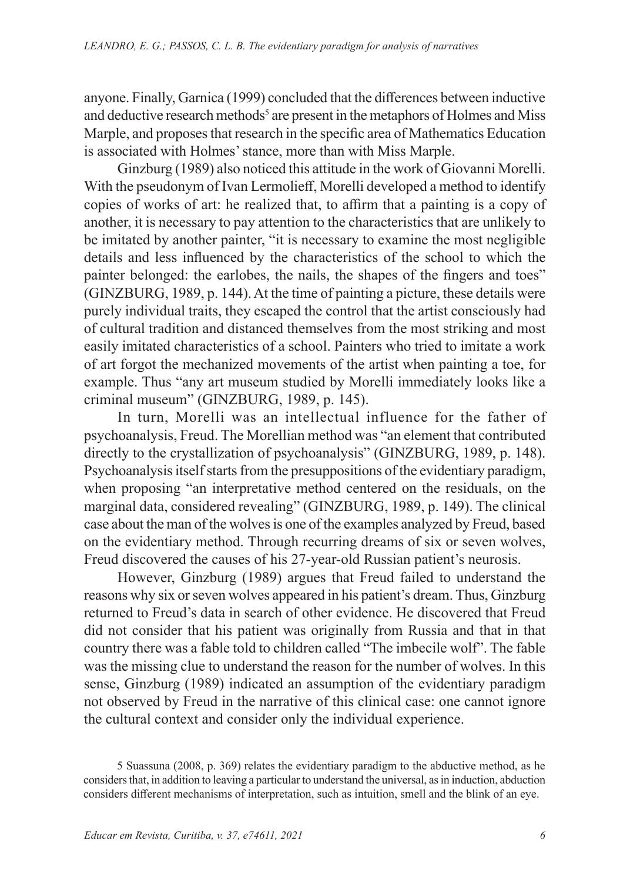anyone. Finally, Garnica (1999) concluded that the differences between inductive and deductive research methods<sup>5</sup> are present in the metaphors of Holmes and Miss Marple, and proposes that research in the specific area of Mathematics Education is associated with Holmes' stance, more than with Miss Marple.

Ginzburg (1989) also noticed this attitude in the work of Giovanni Morelli. With the pseudonym of Ivan Lermolieff, Morelli developed a method to identify copies of works of art: he realized that, to affirm that a painting is a copy of another, it is necessary to pay attention to the characteristics that are unlikely to be imitated by another painter, "it is necessary to examine the most negligible details and less influenced by the characteristics of the school to which the painter belonged: the earlobes, the nails, the shapes of the fingers and toes" (GINZBURG, 1989, p. 144). At the time of painting a picture, these details were purely individual traits, they escaped the control that the artist consciously had of cultural tradition and distanced themselves from the most striking and most easily imitated characteristics of a school. Painters who tried to imitate a work of art forgot the mechanized movements of the artist when painting a toe, for example. Thus "any art museum studied by Morelli immediately looks like a criminal museum" (GINZBURG, 1989, p. 145).

In turn, Morelli was an intellectual influence for the father of psychoanalysis, Freud. The Morellian method was "an element that contributed directly to the crystallization of psychoanalysis" (GINZBURG, 1989, p. 148). Psychoanalysis itself starts from the presuppositions of the evidentiary paradigm, when proposing "an interpretative method centered on the residuals, on the marginal data, considered revealing" (GINZBURG, 1989, p. 149). The clinical case about the man of the wolves is one of the examples analyzed by Freud, based on the evidentiary method. Through recurring dreams of six or seven wolves, Freud discovered the causes of his 27-year-old Russian patient's neurosis.

However, Ginzburg (1989) argues that Freud failed to understand the reasons why six or seven wolves appeared in his patient's dream. Thus, Ginzburg returned to Freud's data in search of other evidence. He discovered that Freud did not consider that his patient was originally from Russia and that in that country there was a fable told to children called "The imbecile wolf". The fable was the missing clue to understand the reason for the number of wolves. In this sense, Ginzburg (1989) indicated an assumption of the evidentiary paradigm not observed by Freud in the narrative of this clinical case: one cannot ignore the cultural context and consider only the individual experience.

<sup>5</sup> Suassuna (2008, p. 369) relates the evidentiary paradigm to the abductive method, as he considers that, in addition to leaving a particular to understand the universal, as in induction, abduction considers different mechanisms of interpretation, such as intuition, smell and the blink of an eye.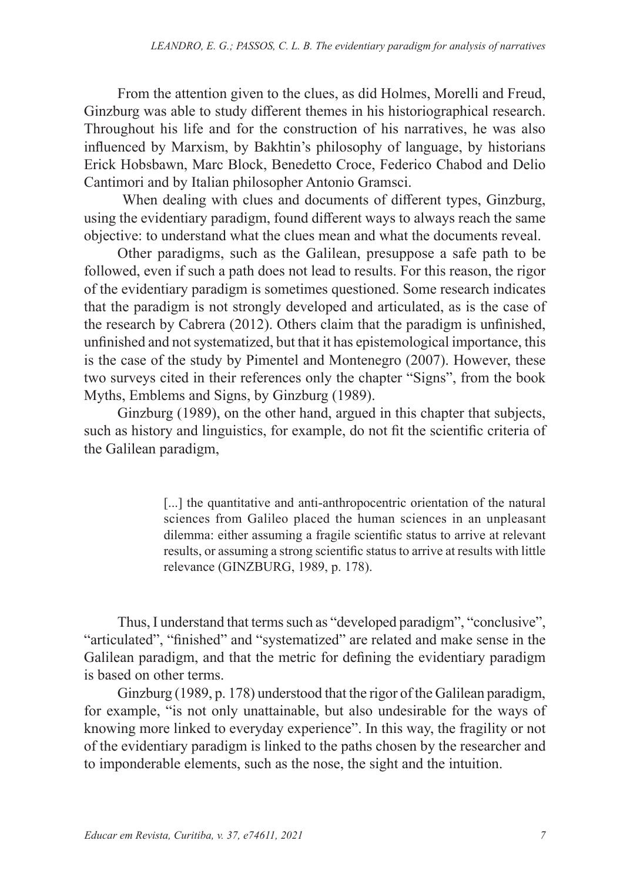From the attention given to the clues, as did Holmes, Morelli and Freud, Ginzburg was able to study different themes in his historiographical research. Throughout his life and for the construction of his narratives, he was also influenced by Marxism, by Bakhtin's philosophy of language, by historians Erick Hobsbawn, Marc Block, Benedetto Croce, Federico Chabod and Delio Cantimori and by Italian philosopher Antonio Gramsci.

 When dealing with clues and documents of different types, Ginzburg, using the evidentiary paradigm, found different ways to always reach the same objective: to understand what the clues mean and what the documents reveal.

Other paradigms, such as the Galilean, presuppose a safe path to be followed, even if such a path does not lead to results. For this reason, the rigor of the evidentiary paradigm is sometimes questioned. Some research indicates that the paradigm is not strongly developed and articulated, as is the case of the research by Cabrera (2012). Others claim that the paradigm is unfinished, unfinished and not systematized, but that it has epistemological importance, this is the case of the study by Pimentel and Montenegro (2007). However, these two surveys cited in their references only the chapter "Signs", from the book Myths, Emblems and Signs, by Ginzburg (1989).

Ginzburg (1989), on the other hand, argued in this chapter that subjects, such as history and linguistics, for example, do not fit the scientific criteria of the Galilean paradigm,

> [...] the quantitative and anti-anthropocentric orientation of the natural sciences from Galileo placed the human sciences in an unpleasant dilemma: either assuming a fragile scientific status to arrive at relevant results, or assuming a strong scientific status to arrive at results with little relevance (GINZBURG, 1989, p. 178).

Thus, I understand that terms such as "developed paradigm", "conclusive", "articulated", "finished" and "systematized" are related and make sense in the Galilean paradigm, and that the metric for defining the evidentiary paradigm is based on other terms.

Ginzburg (1989, p. 178) understood that the rigor of the Galilean paradigm, for example, "is not only unattainable, but also undesirable for the ways of knowing more linked to everyday experience". In this way, the fragility or not of the evidentiary paradigm is linked to the paths chosen by the researcher and to imponderable elements, such as the nose, the sight and the intuition.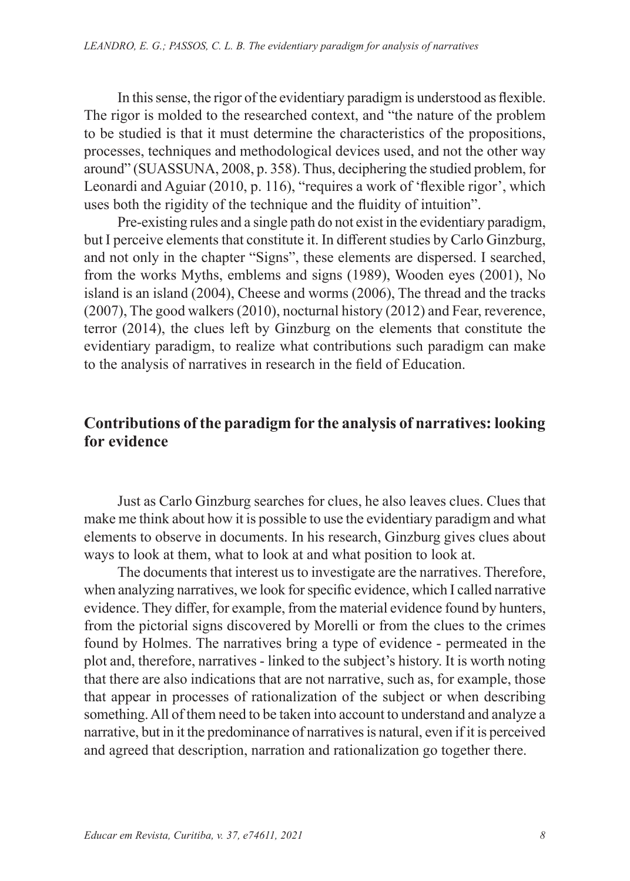In this sense, the rigor of the evidentiary paradigm is understood as flexible. The rigor is molded to the researched context, and "the nature of the problem to be studied is that it must determine the characteristics of the propositions, processes, techniques and methodological devices used, and not the other way around" (SUASSUNA, 2008, p. 358). Thus, deciphering the studied problem, for Leonardi and Aguiar (2010, p. 116), "requires a work of 'flexible rigor', which uses both the rigidity of the technique and the fluidity of intuition".

Pre-existing rules and a single path do not exist in the evidentiary paradigm, but I perceive elements that constitute it. In different studies by Carlo Ginzburg, and not only in the chapter "Signs", these elements are dispersed. I searched, from the works Myths, emblems and signs (1989), Wooden eyes (2001), No island is an island (2004), Cheese and worms (2006), The thread and the tracks (2007), The good walkers (2010), nocturnal history (2012) and Fear, reverence, terror (2014), the clues left by Ginzburg on the elements that constitute the evidentiary paradigm, to realize what contributions such paradigm can make to the analysis of narratives in research in the field of Education.

## **Contributions of the paradigm for the analysis of narratives: looking for evidence**

Just as Carlo Ginzburg searches for clues, he also leaves clues. Clues that make me think about how it is possible to use the evidentiary paradigm and what elements to observe in documents. In his research, Ginzburg gives clues about ways to look at them, what to look at and what position to look at.

The documents that interest us to investigate are the narratives. Therefore, when analyzing narratives, we look for specific evidence, which I called narrative evidence. They differ, for example, from the material evidence found by hunters, from the pictorial signs discovered by Morelli or from the clues to the crimes found by Holmes. The narratives bring a type of evidence - permeated in the plot and, therefore, narratives - linked to the subject's history. It is worth noting that there are also indications that are not narrative, such as, for example, those that appear in processes of rationalization of the subject or when describing something. All of them need to be taken into account to understand and analyze a narrative, but in it the predominance of narratives is natural, even if it is perceived and agreed that description, narration and rationalization go together there.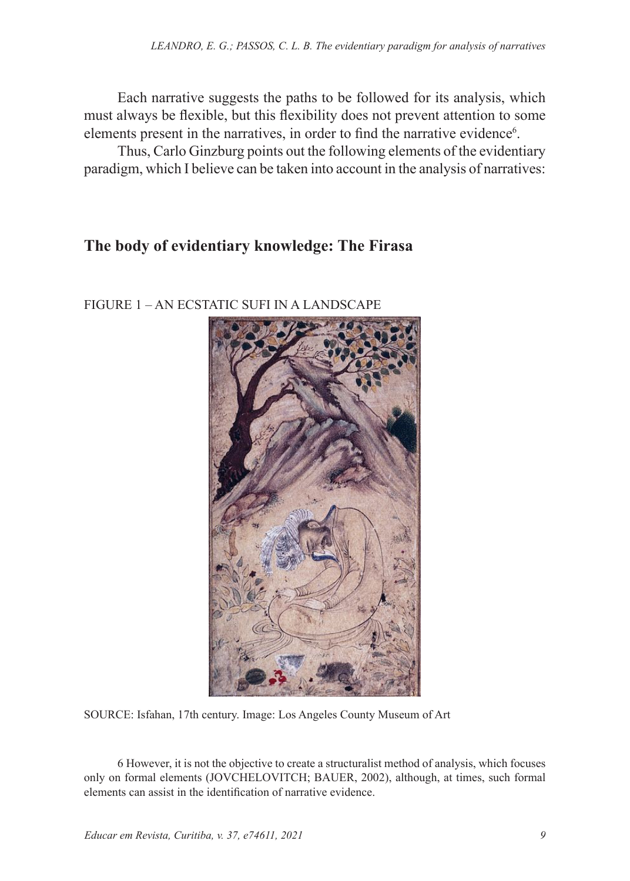Each narrative suggests the paths to be followed for its analysis, which must always be flexible, but this flexibility does not prevent attention to some elements present in the narratives, in order to find the narrative evidence<sup>6</sup>.

Thus, Carlo Ginzburg points out the following elements of the evidentiary paradigm, which I believe can be taken into account in the analysis of narratives:

## **The body of evidentiary knowledge: The Firasa**



FIGURE 1 – AN ECSTATIC SUFI IN A LANDSCAPE

SOURCE: Isfahan, 17th century. Image: Los Angeles County Museum of Art

6 However, it is not the objective to create a structuralist method of analysis, which focuses only on formal elements (JOVCHELOVITCH; BAUER, 2002), although, at times, such formal elements can assist in the identification of narrative evidence.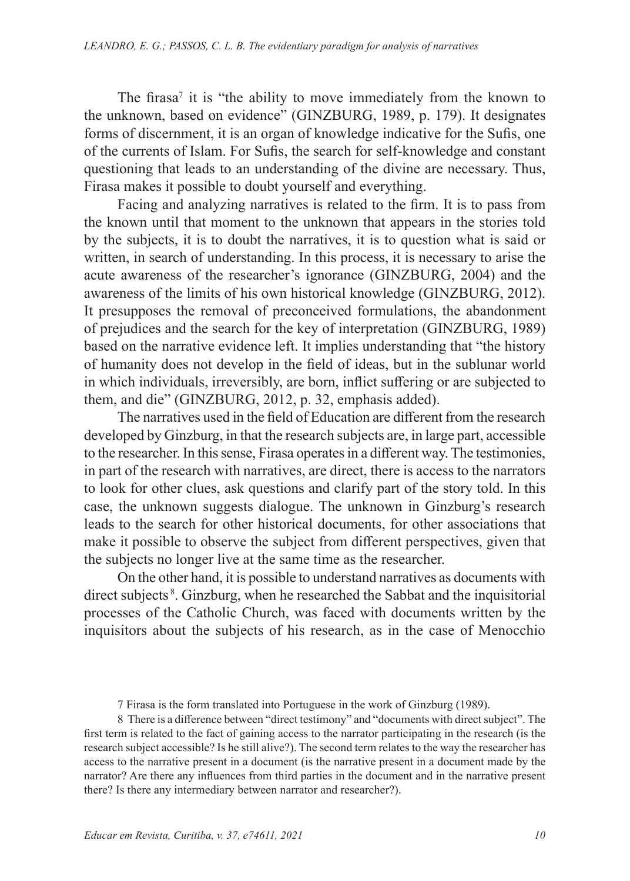The firasa<sup>7</sup> it is "the ability to move immediately from the known to the unknown, based on evidence" (GINZBURG, 1989, p. 179). It designates forms of discernment, it is an organ of knowledge indicative for the Sufis, one of the currents of Islam. For Sufis, the search for self-knowledge and constant questioning that leads to an understanding of the divine are necessary. Thus, Firasa makes it possible to doubt yourself and everything.

Facing and analyzing narratives is related to the firm. It is to pass from the known until that moment to the unknown that appears in the stories told by the subjects, it is to doubt the narratives, it is to question what is said or written, in search of understanding. In this process, it is necessary to arise the acute awareness of the researcher's ignorance (GINZBURG, 2004) and the awareness of the limits of his own historical knowledge (GINZBURG, 2012). It presupposes the removal of preconceived formulations, the abandonment of prejudices and the search for the key of interpretation (GINZBURG, 1989) based on the narrative evidence left. It implies understanding that "the history of humanity does not develop in the field of ideas, but in the sublunar world in which individuals, irreversibly, are born, inflict suffering or are subjected to them, and die" (GINZBURG, 2012, p. 32, emphasis added).

The narratives used in the field of Education are different from the research developed by Ginzburg, in that the research subjects are, in large part, accessible to the researcher. In this sense, Firasa operates in a different way. The testimonies, in part of the research with narratives, are direct, there is access to the narrators to look for other clues, ask questions and clarify part of the story told. In this case, the unknown suggests dialogue. The unknown in Ginzburg's research leads to the search for other historical documents, for other associations that make it possible to observe the subject from different perspectives, given that the subjects no longer live at the same time as the researcher.

On the other hand, it is possible to understand narratives as documents with direct subjects 8. Ginzburg, when he researched the Sabbat and the inquisitorial processes of the Catholic Church, was faced with documents written by the inquisitors about the subjects of his research, as in the case of Menocchio

8 There is a difference between "direct testimony" and "documents with direct subject". The first term is related to the fact of gaining access to the narrator participating in the research (is the research subject accessible? Is he still alive?). The second term relates to the way the researcher has access to the narrative present in a document (is the narrative present in a document made by the narrator? Are there any influences from third parties in the document and in the narrative present there? Is there any intermediary between narrator and researcher?).

<sup>7</sup> Firasa is the form translated into Portuguese in the work of Ginzburg (1989).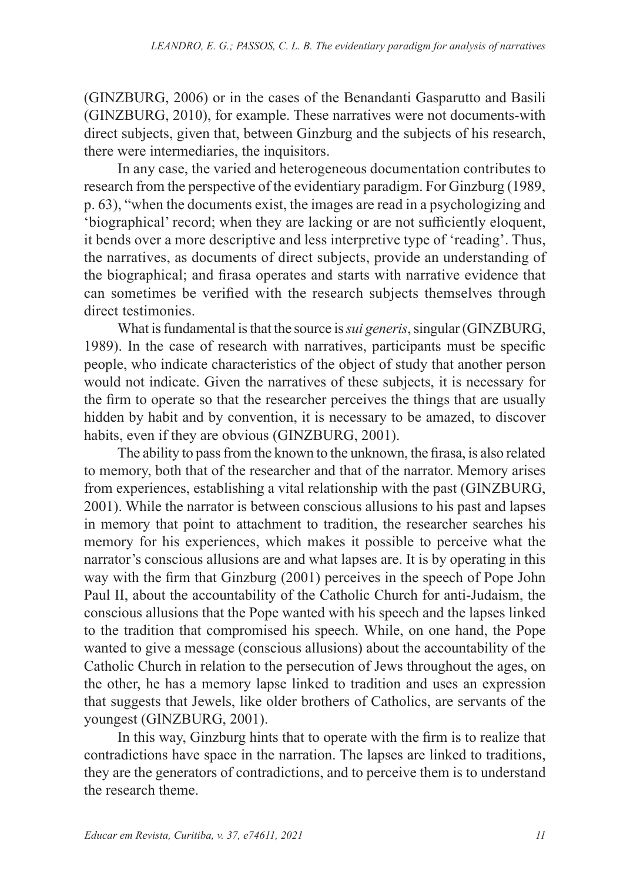(GINZBURG, 2006) or in the cases of the Benandanti Gasparutto and Basili (GINZBURG, 2010), for example. These narratives were not documents-with direct subjects, given that, between Ginzburg and the subjects of his research, there were intermediaries, the inquisitors.

In any case, the varied and heterogeneous documentation contributes to research from the perspective of the evidentiary paradigm. For Ginzburg (1989, p. 63), "when the documents exist, the images are read in a psychologizing and 'biographical' record; when they are lacking or are not sufficiently eloquent, it bends over a more descriptive and less interpretive type of 'reading'. Thus, the narratives, as documents of direct subjects, provide an understanding of the biographical; and firasa operates and starts with narrative evidence that can sometimes be verified with the research subjects themselves through direct testimonies.

What is fundamental is that the source is *sui generis*, singular (GINZBURG, 1989). In the case of research with narratives, participants must be specific people, who indicate characteristics of the object of study that another person would not indicate. Given the narratives of these subjects, it is necessary for the firm to operate so that the researcher perceives the things that are usually hidden by habit and by convention, it is necessary to be amazed, to discover habits, even if they are obvious (GINZBURG, 2001).

The ability to pass from the known to the unknown, the firasa, is also related to memory, both that of the researcher and that of the narrator. Memory arises from experiences, establishing a vital relationship with the past (GINZBURG, 2001). While the narrator is between conscious allusions to his past and lapses in memory that point to attachment to tradition, the researcher searches his memory for his experiences, which makes it possible to perceive what the narrator's conscious allusions are and what lapses are. It is by operating in this way with the firm that Ginzburg (2001) perceives in the speech of Pope John Paul II, about the accountability of the Catholic Church for anti-Judaism, the conscious allusions that the Pope wanted with his speech and the lapses linked to the tradition that compromised his speech. While, on one hand, the Pope wanted to give a message (conscious allusions) about the accountability of the Catholic Church in relation to the persecution of Jews throughout the ages, on the other, he has a memory lapse linked to tradition and uses an expression that suggests that Jewels, like older brothers of Catholics, are servants of the youngest (GINZBURG, 2001).

In this way, Ginzburg hints that to operate with the firm is to realize that contradictions have space in the narration. The lapses are linked to traditions, they are the generators of contradictions, and to perceive them is to understand the research theme.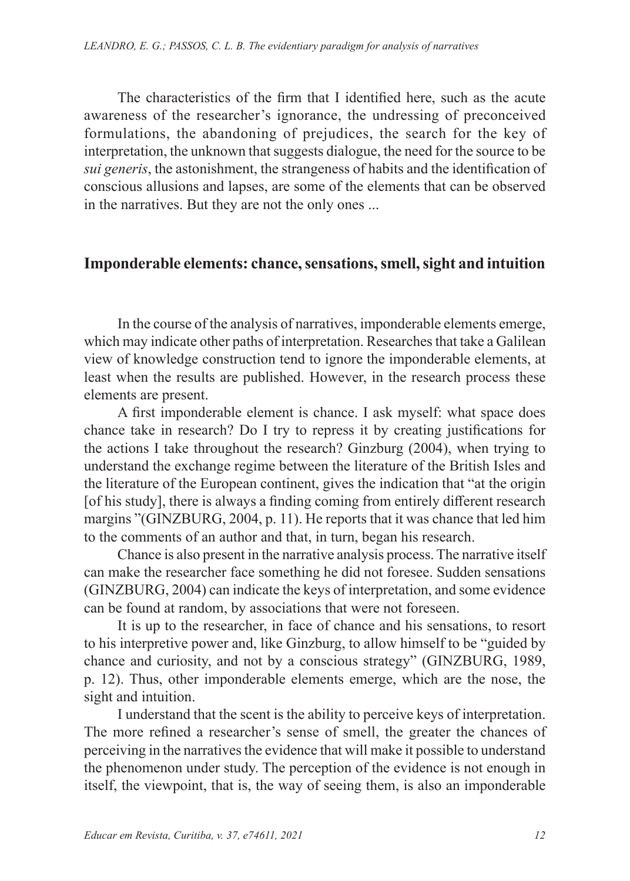The characteristics of the firm that I identified here, such as the acute awareness of the researcher's ignorance, the undressing of preconceived formulations, the abandoning of prejudices, the search for the key of interpretation, the unknown that suggests dialogue, the need for the source to be *sui generis*, the astonishment, the strangeness of habits and the identification of conscious allusions and lapses, are some of the elements that can be observed in the narratives. But they are not the only ones ...

### **Imponderable elements: chance, sensations, smell, sight and intuition**

In the course of the analysis of narratives, imponderable elements emerge, which may indicate other paths of interpretation. Researches that take a Galilean view of knowledge construction tend to ignore the imponderable elements, at least when the results are published. However, in the research process these elements are present.

A first imponderable element is chance. I ask myself: what space does chance take in research? Do I try to repress it by creating justifications for the actions I take throughout the research? Ginzburg (2004), when trying to understand the exchange regime between the literature of the British Isles and the literature of the European continent, gives the indication that "at the origin [of his study], there is always a finding coming from entirely different research margins "(GINZBURG, 2004, p. 11). He reports that it was chance that led him to the comments of an author and that, in turn, began his research.

Chance is also present in the narrative analysis process. The narrative itself can make the researcher face something he did not foresee. Sudden sensations (GINZBURG, 2004) can indicate the keys of interpretation, and some evidence can be found at random, by associations that were not foreseen.

It is up to the researcher, in face of chance and his sensations, to resort to his interpretive power and, like Ginzburg, to allow himself to be "guided by chance and curiosity, and not by a conscious strategy" (GINZBURG, 1989, p. 12). Thus, other imponderable elements emerge, which are the nose, the sight and intuition.

I understand that the scent is the ability to perceive keys of interpretation. The more refined a researcher's sense of smell, the greater the chances of perceiving in the narratives the evidence that will make it possible to understand the phenomenon under study. The perception of the evidence is not enough in itself, the viewpoint, that is, the way of seeing them, is also an imponderable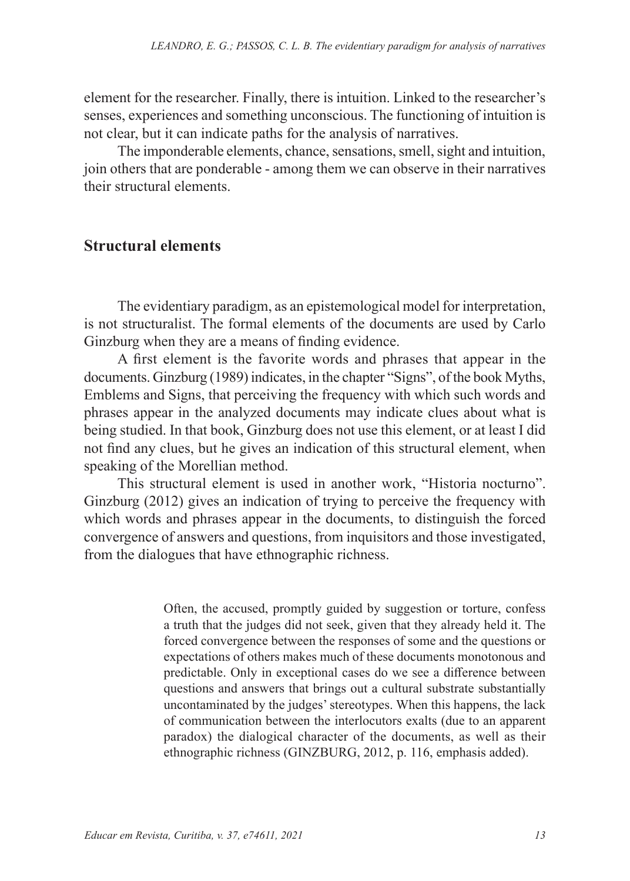element for the researcher. Finally, there is intuition. Linked to the researcher's senses, experiences and something unconscious. The functioning of intuition is not clear, but it can indicate paths for the analysis of narratives.

The imponderable elements, chance, sensations, smell, sight and intuition, join others that are ponderable - among them we can observe in their narratives their structural elements.

#### **Structural elements**

The evidentiary paradigm, as an epistemological model for interpretation, is not structuralist. The formal elements of the documents are used by Carlo Ginzburg when they are a means of finding evidence.

A first element is the favorite words and phrases that appear in the documents. Ginzburg (1989) indicates, in the chapter "Signs", of the book Myths, Emblems and Signs, that perceiving the frequency with which such words and phrases appear in the analyzed documents may indicate clues about what is being studied. In that book, Ginzburg does not use this element, or at least I did not find any clues, but he gives an indication of this structural element, when speaking of the Morellian method.

This structural element is used in another work, "Historia nocturno". Ginzburg (2012) gives an indication of trying to perceive the frequency with which words and phrases appear in the documents, to distinguish the forced convergence of answers and questions, from inquisitors and those investigated, from the dialogues that have ethnographic richness.

> Often, the accused, promptly guided by suggestion or torture, confess a truth that the judges did not seek, given that they already held it. The forced convergence between the responses of some and the questions or expectations of others makes much of these documents monotonous and predictable. Only in exceptional cases do we see a difference between questions and answers that brings out a cultural substrate substantially uncontaminated by the judges' stereotypes. When this happens, the lack of communication between the interlocutors exalts (due to an apparent paradox) the dialogical character of the documents, as well as their ethnographic richness (GINZBURG, 2012, p. 116, emphasis added).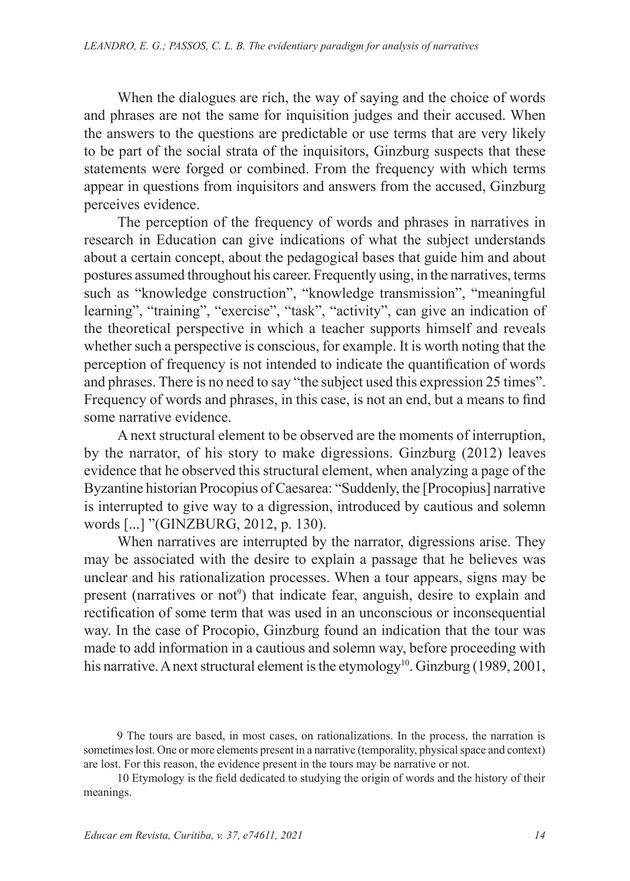When the dialogues are rich, the way of saying and the choice of words and phrases are not the same for inquisition judges and their accused. When the answers to the questions are predictable or use terms that are very likely to be part of the social strata of the inquisitors, Ginzburg suspects that these statements were forged or combined. From the frequency with which terms appear in questions from inquisitors and answers from the accused, Ginzburg perceives evidence.

The perception of the frequency of words and phrases in narratives in research in Education can give indications of what the subject understands about a certain concept, about the pedagogical bases that guide him and about postures assumed throughout his career. Frequently using, in the narratives, terms such as "knowledge construction", "knowledge transmission", "meaningful learning", "training", "exercise", "task", "activity", can give an indication of the theoretical perspective in which a teacher supports himself and reveals whether such a perspective is conscious, for example. It is worth noting that the perception of frequency is not intended to indicate the quantification of words and phrases. There is no need to say "the subject used this expression 25 times". Frequency of words and phrases, in this case, is not an end, but a means to find some narrative evidence.

A next structural element to be observed are the moments of interruption, by the narrator, of his story to make digressions. Ginzburg (2012) leaves evidence that he observed this structural element, when analyzing a page of the Byzantine historian Procopius of Caesarea: "Suddenly, the [Procopius] narrative is interrupted to give way to a digression, introduced by cautious and solemn words [...] "(GINZBURG, 2012, p. 130).

When narratives are interrupted by the narrator, digressions arise. They may be associated with the desire to explain a passage that he believes was unclear and his rationalization processes. When a tour appears, signs may be present (narratives or not<sup>9</sup>) that indicate fear, anguish, desire to explain and rectification of some term that was used in an unconscious or inconsequential way. In the case of Procopio, Ginzburg found an indication that the tour was made to add information in a cautious and solemn way, before proceeding with his narrative. A next structural element is the etymology<sup>10</sup>. Ginzburg (1989, 2001,

<sup>9</sup> The tours are based, in most cases, on rationalizations. In the process, the narration is sometimes lost. One or more elements present in a narrative (temporality, physical space and context) are lost. For this reason, the evidence present in the tours may be narrative or not.

<sup>10</sup> Etymology is the field dedicated to studying the origin of words and the history of their meanings.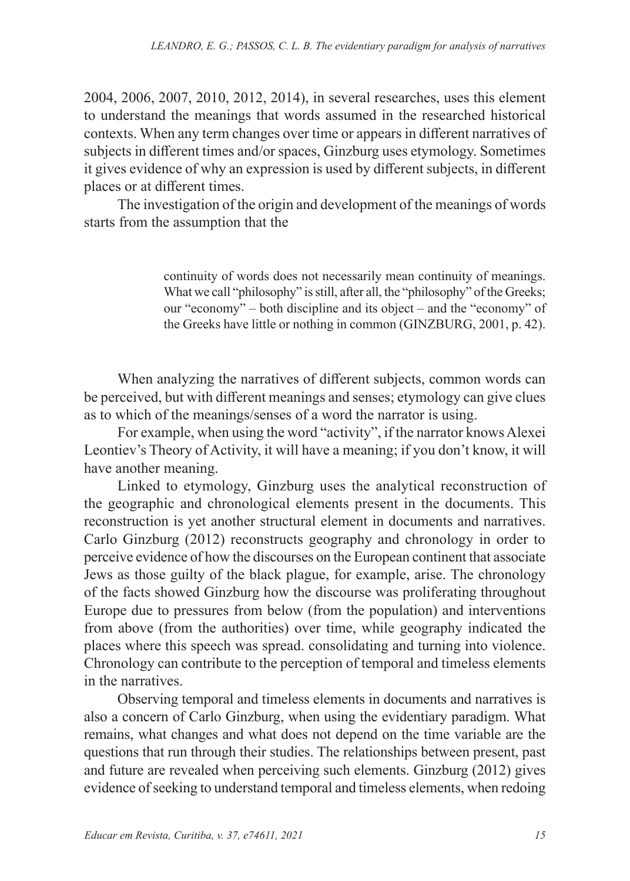2004, 2006, 2007, 2010, 2012, 2014), in several researches, uses this element to understand the meanings that words assumed in the researched historical contexts. When any term changes over time or appears in different narratives of subjects in different times and/or spaces, Ginzburg uses etymology. Sometimes it gives evidence of why an expression is used by different subjects, in different places or at different times.

The investigation of the origin and development of the meanings of words starts from the assumption that the

> continuity of words does not necessarily mean continuity of meanings. What we call "philosophy" is still, after all, the "philosophy" of the Greeks; our "economy" – both discipline and its object – and the "economy" of the Greeks have little or nothing in common (GINZBURG, 2001, p. 42).

When analyzing the narratives of different subjects, common words can be perceived, but with different meanings and senses; etymology can give clues as to which of the meanings/senses of a word the narrator is using.

For example, when using the word "activity", if the narrator knows Alexei Leontiev's Theory of Activity, it will have a meaning; if you don't know, it will have another meaning.

Linked to etymology, Ginzburg uses the analytical reconstruction of the geographic and chronological elements present in the documents. This reconstruction is yet another structural element in documents and narratives. Carlo Ginzburg (2012) reconstructs geography and chronology in order to perceive evidence of how the discourses on the European continent that associate Jews as those guilty of the black plague, for example, arise. The chronology of the facts showed Ginzburg how the discourse was proliferating throughout Europe due to pressures from below (from the population) and interventions from above (from the authorities) over time, while geography indicated the places where this speech was spread. consolidating and turning into violence. Chronology can contribute to the perception of temporal and timeless elements in the narratives.

Observing temporal and timeless elements in documents and narratives is also a concern of Carlo Ginzburg, when using the evidentiary paradigm. What remains, what changes and what does not depend on the time variable are the questions that run through their studies. The relationships between present, past and future are revealed when perceiving such elements. Ginzburg (2012) gives evidence of seeking to understand temporal and timeless elements, when redoing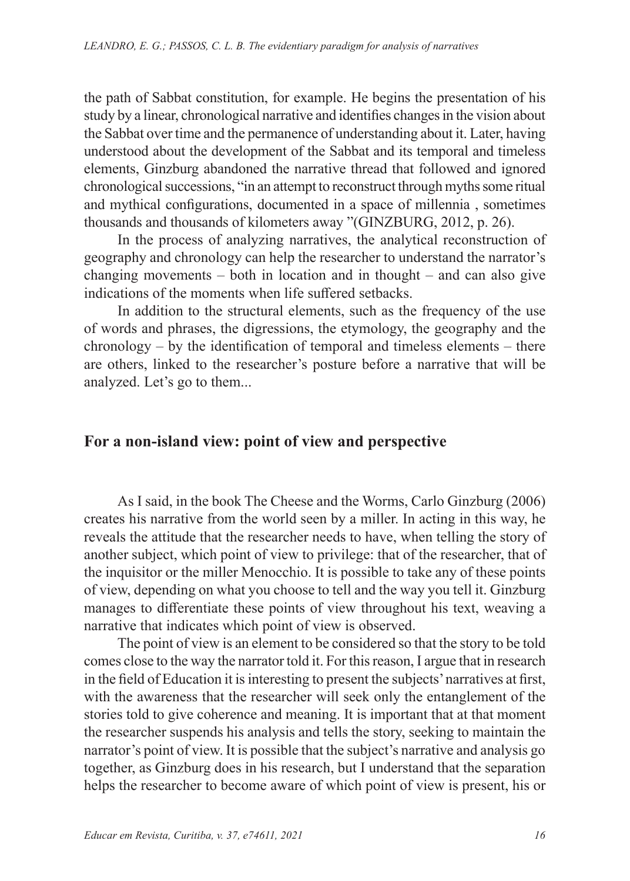the path of Sabbat constitution, for example. He begins the presentation of his study by a linear, chronological narrative and identifies changes in the vision about the Sabbat over time and the permanence of understanding about it. Later, having understood about the development of the Sabbat and its temporal and timeless elements, Ginzburg abandoned the narrative thread that followed and ignored chronological successions, "in an attempt to reconstruct through myths some ritual and mythical configurations, documented in a space of millennia , sometimes thousands and thousands of kilometers away "(GINZBURG, 2012, p. 26).

In the process of analyzing narratives, the analytical reconstruction of geography and chronology can help the researcher to understand the narrator's changing movements – both in location and in thought – and can also give indications of the moments when life suffered setbacks.

In addition to the structural elements, such as the frequency of the use of words and phrases, the digressions, the etymology, the geography and the chronology – by the identification of temporal and timeless elements – there are others, linked to the researcher's posture before a narrative that will be analyzed. Let's go to them...

## **For a non-island view: point of view and perspective**

As I said, in the book The Cheese and the Worms, Carlo Ginzburg (2006) creates his narrative from the world seen by a miller. In acting in this way, he reveals the attitude that the researcher needs to have, when telling the story of another subject, which point of view to privilege: that of the researcher, that of the inquisitor or the miller Menocchio. It is possible to take any of these points of view, depending on what you choose to tell and the way you tell it. Ginzburg manages to differentiate these points of view throughout his text, weaving a narrative that indicates which point of view is observed.

The point of view is an element to be considered so that the story to be told comes close to the way the narrator told it. For this reason, I argue that in research in the field of Education it is interesting to present the subjects' narratives at first, with the awareness that the researcher will seek only the entanglement of the stories told to give coherence and meaning. It is important that at that moment the researcher suspends his analysis and tells the story, seeking to maintain the narrator's point of view. It is possible that the subject's narrative and analysis go together, as Ginzburg does in his research, but I understand that the separation helps the researcher to become aware of which point of view is present, his or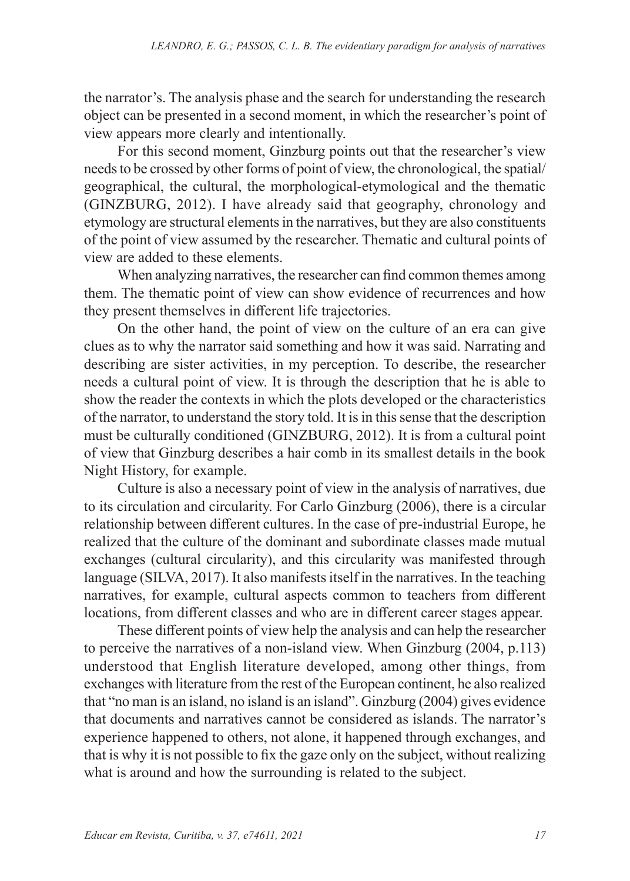the narrator's. The analysis phase and the search for understanding the research object can be presented in a second moment, in which the researcher's point of view appears more clearly and intentionally.

For this second moment, Ginzburg points out that the researcher's view needs to be crossed by other forms of point of view, the chronological, the spatial/ geographical, the cultural, the morphological-etymological and the thematic (GINZBURG, 2012). I have already said that geography, chronology and etymology are structural elements in the narratives, but they are also constituents of the point of view assumed by the researcher. Thematic and cultural points of view are added to these elements.

When analyzing narratives, the researcher can find common themes among them. The thematic point of view can show evidence of recurrences and how they present themselves in different life trajectories.

On the other hand, the point of view on the culture of an era can give clues as to why the narrator said something and how it was said. Narrating and describing are sister activities, in my perception. To describe, the researcher needs a cultural point of view. It is through the description that he is able to show the reader the contexts in which the plots developed or the characteristics of the narrator, to understand the story told. It is in this sense that the description must be culturally conditioned (GINZBURG, 2012). It is from a cultural point of view that Ginzburg describes a hair comb in its smallest details in the book Night History, for example.

Culture is also a necessary point of view in the analysis of narratives, due to its circulation and circularity. For Carlo Ginzburg (2006), there is a circular relationship between different cultures. In the case of pre-industrial Europe, he realized that the culture of the dominant and subordinate classes made mutual exchanges (cultural circularity), and this circularity was manifested through language (SILVA, 2017). It also manifests itself in the narratives. In the teaching narratives, for example, cultural aspects common to teachers from different locations, from different classes and who are in different career stages appear.

These different points of view help the analysis and can help the researcher to perceive the narratives of a non-island view. When Ginzburg (2004, p.113) understood that English literature developed, among other things, from exchanges with literature from the rest of the European continent, he also realized that "no man is an island, no island is an island". Ginzburg (2004) gives evidence that documents and narratives cannot be considered as islands. The narrator's experience happened to others, not alone, it happened through exchanges, and that is why it is not possible to fix the gaze only on the subject, without realizing what is around and how the surrounding is related to the subject.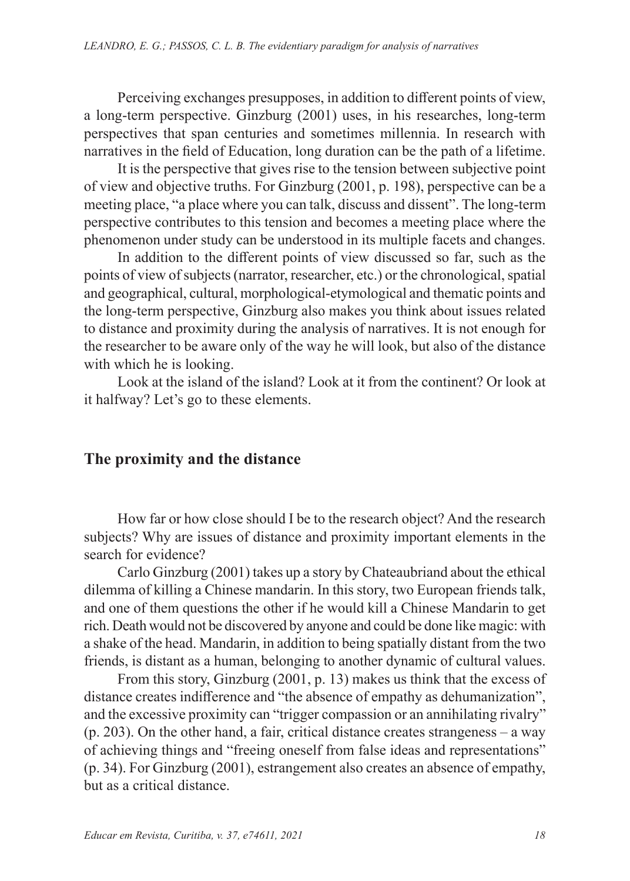Perceiving exchanges presupposes, in addition to different points of view, a long-term perspective. Ginzburg (2001) uses, in his researches, long-term perspectives that span centuries and sometimes millennia. In research with narratives in the field of Education, long duration can be the path of a lifetime.

It is the perspective that gives rise to the tension between subjective point of view and objective truths. For Ginzburg (2001, p. 198), perspective can be a meeting place, "a place where you can talk, discuss and dissent". The long-term perspective contributes to this tension and becomes a meeting place where the phenomenon under study can be understood in its multiple facets and changes.

In addition to the different points of view discussed so far, such as the points of view of subjects (narrator, researcher, etc.) or the chronological, spatial and geographical, cultural, morphological-etymological and thematic points and the long-term perspective, Ginzburg also makes you think about issues related to distance and proximity during the analysis of narratives. It is not enough for the researcher to be aware only of the way he will look, but also of the distance with which he is looking.

Look at the island of the island? Look at it from the continent? Or look at it halfway? Let's go to these elements.

### **The proximity and the distance**

How far or how close should I be to the research object? And the research subjects? Why are issues of distance and proximity important elements in the search for evidence?

Carlo Ginzburg (2001) takes up a story by Chateaubriand about the ethical dilemma of killing a Chinese mandarin. In this story, two European friends talk, and one of them questions the other if he would kill a Chinese Mandarin to get rich. Death would not be discovered by anyone and could be done like magic: with a shake of the head. Mandarin, in addition to being spatially distant from the two friends, is distant as a human, belonging to another dynamic of cultural values.

From this story, Ginzburg (2001, p. 13) makes us think that the excess of distance creates indifference and "the absence of empathy as dehumanization", and the excessive proximity can "trigger compassion or an annihilating rivalry" (p. 203). On the other hand, a fair, critical distance creates strangeness – a way of achieving things and "freeing oneself from false ideas and representations" (p. 34). For Ginzburg (2001), estrangement also creates an absence of empathy, but as a critical distance.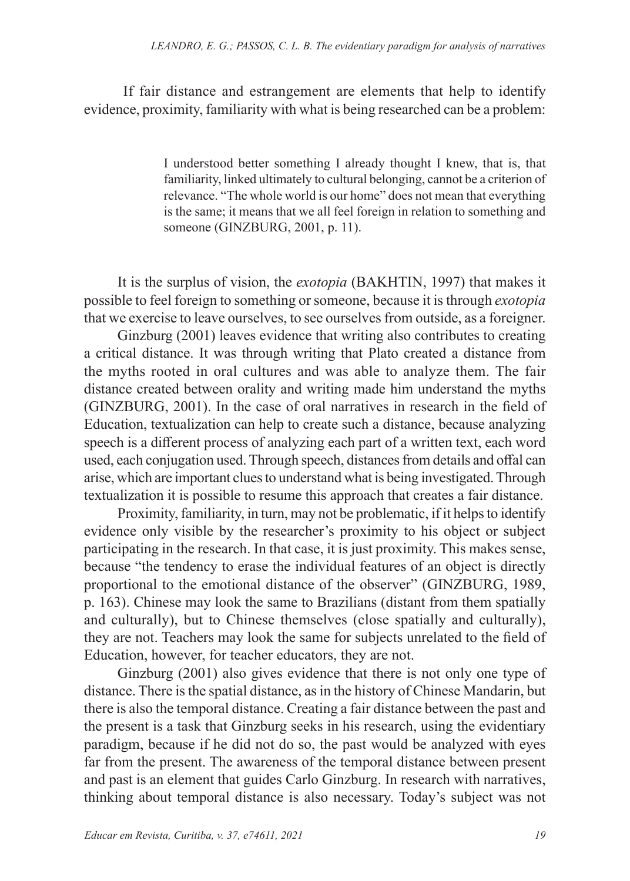If fair distance and estrangement are elements that help to identify evidence, proximity, familiarity with what is being researched can be a problem:

> I understood better something I already thought I knew, that is, that familiarity, linked ultimately to cultural belonging, cannot be a criterion of relevance. "The whole world is our home" does not mean that everything is the same; it means that we all feel foreign in relation to something and someone (GINZBURG, 2001, p. 11).

It is the surplus of vision, the *exotopia* (BAKHTIN, 1997) that makes it possible to feel foreign to something or someone, because it is through *exotopia* that we exercise to leave ourselves, to see ourselves from outside, as a foreigner.

Ginzburg (2001) leaves evidence that writing also contributes to creating a critical distance. It was through writing that Plato created a distance from the myths rooted in oral cultures and was able to analyze them. The fair distance created between orality and writing made him understand the myths (GINZBURG, 2001). In the case of oral narratives in research in the field of Education, textualization can help to create such a distance, because analyzing speech is a different process of analyzing each part of a written text, each word used, each conjugation used. Through speech, distances from details and offal can arise, which are important clues to understand what is being investigated. Through textualization it is possible to resume this approach that creates a fair distance.

Proximity, familiarity, in turn, may not be problematic, if it helps to identify evidence only visible by the researcher's proximity to his object or subject participating in the research. In that case, it is just proximity. This makes sense, because "the tendency to erase the individual features of an object is directly proportional to the emotional distance of the observer" (GINZBURG, 1989, p. 163). Chinese may look the same to Brazilians (distant from them spatially and culturally), but to Chinese themselves (close spatially and culturally), they are not. Teachers may look the same for subjects unrelated to the field of Education, however, for teacher educators, they are not.

Ginzburg (2001) also gives evidence that there is not only one type of distance. There is the spatial distance, as in the history of Chinese Mandarin, but there is also the temporal distance. Creating a fair distance between the past and the present is a task that Ginzburg seeks in his research, using the evidentiary paradigm, because if he did not do so, the past would be analyzed with eyes far from the present. The awareness of the temporal distance between present and past is an element that guides Carlo Ginzburg. In research with narratives, thinking about temporal distance is also necessary. Today's subject was not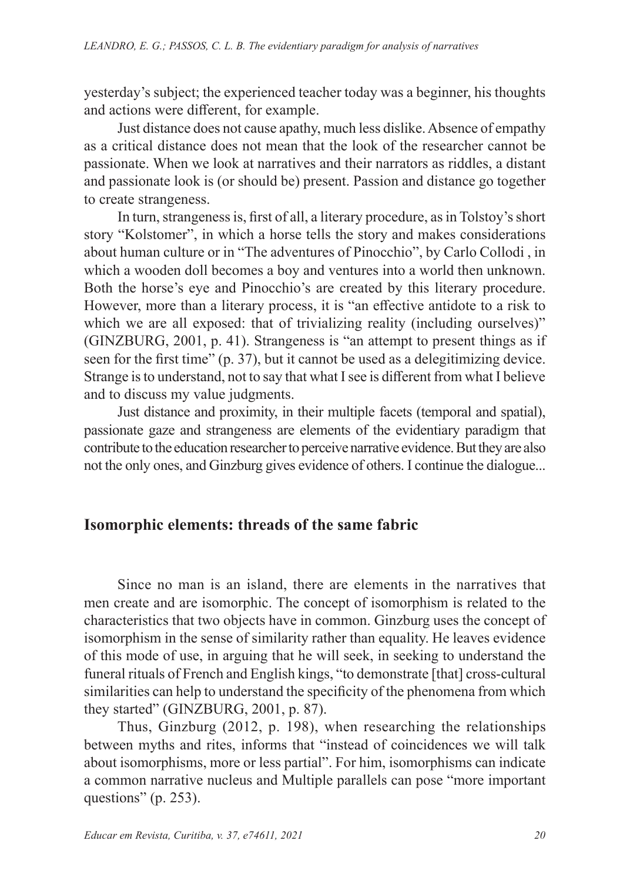yesterday's subject; the experienced teacher today was a beginner, his thoughts and actions were different, for example.

Just distance does not cause apathy, much less dislike. Absence of empathy as a critical distance does not mean that the look of the researcher cannot be passionate. When we look at narratives and their narrators as riddles, a distant and passionate look is (or should be) present. Passion and distance go together to create strangeness.

In turn, strangeness is, first of all, a literary procedure, as in Tolstoy's short story "Kolstomer", in which a horse tells the story and makes considerations about human culture or in "The adventures of Pinocchio", by Carlo Collodi , in which a wooden doll becomes a boy and ventures into a world then unknown. Both the horse's eye and Pinocchio's are created by this literary procedure. However, more than a literary process, it is "an effective antidote to a risk to which we are all exposed: that of trivializing reality (including ourselves)" (GINZBURG, 2001, p. 41). Strangeness is "an attempt to present things as if seen for the first time" (p. 37), but it cannot be used as a delegitimizing device. Strange is to understand, not to say that what I see is different from what I believe and to discuss my value judgments.

Just distance and proximity, in their multiple facets (temporal and spatial), passionate gaze and strangeness are elements of the evidentiary paradigm that contribute to the education researcher to perceive narrative evidence. But they are also not the only ones, and Ginzburg gives evidence of others. I continue the dialogue...

## **Isomorphic elements: threads of the same fabric**

Since no man is an island, there are elements in the narratives that men create and are isomorphic. The concept of isomorphism is related to the characteristics that two objects have in common. Ginzburg uses the concept of isomorphism in the sense of similarity rather than equality. He leaves evidence of this mode of use, in arguing that he will seek, in seeking to understand the funeral rituals of French and English kings, "to demonstrate [that] cross-cultural similarities can help to understand the specificity of the phenomena from which they started" (GINZBURG, 2001, p. 87).

Thus, Ginzburg (2012, p. 198), when researching the relationships between myths and rites, informs that "instead of coincidences we will talk about isomorphisms, more or less partial". For him, isomorphisms can indicate a common narrative nucleus and Multiple parallels can pose "more important questions" (p. 253).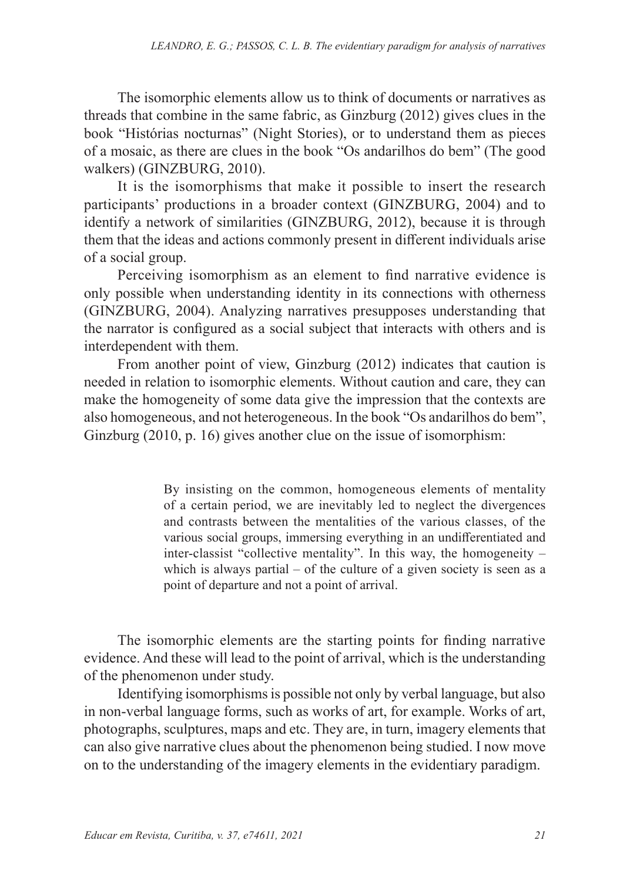The isomorphic elements allow us to think of documents or narratives as threads that combine in the same fabric, as Ginzburg (2012) gives clues in the book "Histórias nocturnas" (Night Stories), or to understand them as pieces of a mosaic, as there are clues in the book "Os andarilhos do bem" (The good walkers) (GINZBURG, 2010).

It is the isomorphisms that make it possible to insert the research participants' productions in a broader context (GINZBURG, 2004) and to identify a network of similarities (GINZBURG, 2012), because it is through them that the ideas and actions commonly present in different individuals arise of a social group.

Perceiving isomorphism as an element to find narrative evidence is only possible when understanding identity in its connections with otherness (GINZBURG, 2004). Analyzing narratives presupposes understanding that the narrator is configured as a social subject that interacts with others and is interdependent with them.

From another point of view, Ginzburg (2012) indicates that caution is needed in relation to isomorphic elements. Without caution and care, they can make the homogeneity of some data give the impression that the contexts are also homogeneous, and not heterogeneous. In the book "Os andarilhos do bem", Ginzburg (2010, p. 16) gives another clue on the issue of isomorphism:

> By insisting on the common, homogeneous elements of mentality of a certain period, we are inevitably led to neglect the divergences and contrasts between the mentalities of the various classes, of the various social groups, immersing everything in an undifferentiated and inter-classist "collective mentality". In this way, the homogeneity – which is always partial – of the culture of a given society is seen as a point of departure and not a point of arrival.

The isomorphic elements are the starting points for finding narrative evidence. And these will lead to the point of arrival, which is the understanding of the phenomenon under study.

Identifying isomorphisms is possible not only by verbal language, but also in non-verbal language forms, such as works of art, for example. Works of art, photographs, sculptures, maps and etc. They are, in turn, imagery elements that can also give narrative clues about the phenomenon being studied. I now move on to the understanding of the imagery elements in the evidentiary paradigm.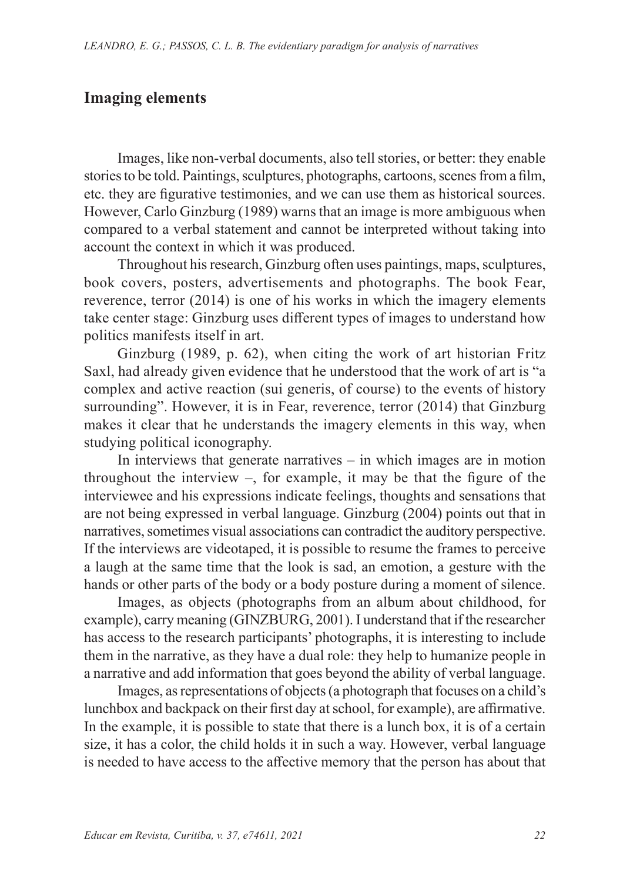## **Imaging elements**

Images, like non-verbal documents, also tell stories, or better: they enable stories to be told. Paintings, sculptures, photographs, cartoons, scenes from a film, etc. they are figurative testimonies, and we can use them as historical sources. However, Carlo Ginzburg (1989) warns that an image is more ambiguous when compared to a verbal statement and cannot be interpreted without taking into account the context in which it was produced.

Throughout his research, Ginzburg often uses paintings, maps, sculptures, book covers, posters, advertisements and photographs. The book Fear, reverence, terror (2014) is one of his works in which the imagery elements take center stage: Ginzburg uses different types of images to understand how politics manifests itself in art.

Ginzburg (1989, p. 62), when citing the work of art historian Fritz Saxl, had already given evidence that he understood that the work of art is "a complex and active reaction (sui generis, of course) to the events of history surrounding". However, it is in Fear, reverence, terror (2014) that Ginzburg makes it clear that he understands the imagery elements in this way, when studying political iconography.

In interviews that generate narratives  $-$  in which images are in motion throughout the interview  $-$ , for example, it may be that the figure of the interviewee and his expressions indicate feelings, thoughts and sensations that are not being expressed in verbal language. Ginzburg (2004) points out that in narratives, sometimes visual associations can contradict the auditory perspective. If the interviews are videotaped, it is possible to resume the frames to perceive a laugh at the same time that the look is sad, an emotion, a gesture with the hands or other parts of the body or a body posture during a moment of silence.

Images, as objects (photographs from an album about childhood, for example), carry meaning (GINZBURG, 2001). I understand that if the researcher has access to the research participants' photographs, it is interesting to include them in the narrative, as they have a dual role: they help to humanize people in a narrative and add information that goes beyond the ability of verbal language.

Images, as representations of objects (a photograph that focuses on a child's lunchbox and backpack on their first day at school, for example), are affirmative. In the example, it is possible to state that there is a lunch box, it is of a certain size, it has a color, the child holds it in such a way. However, verbal language is needed to have access to the affective memory that the person has about that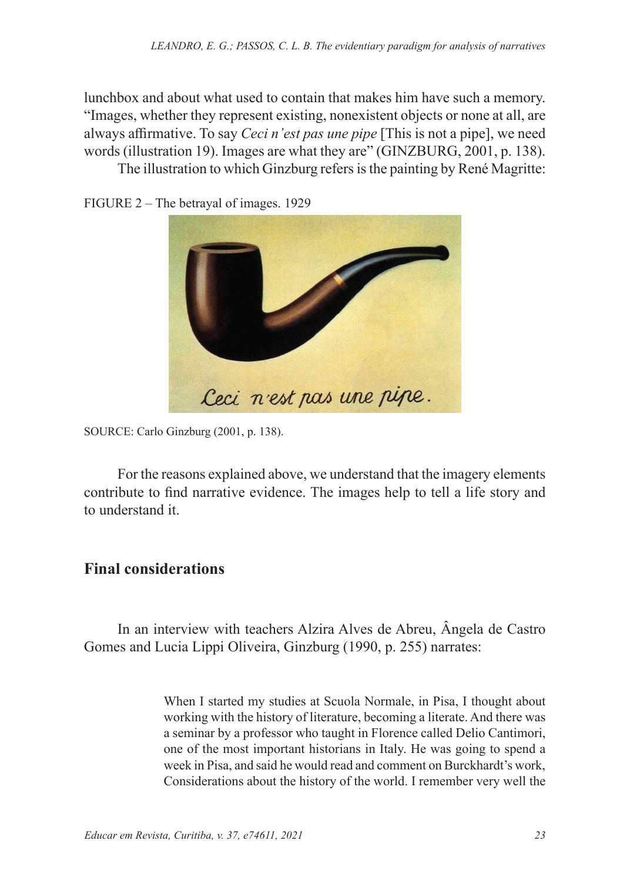lunchbox and about what used to contain that makes him have such a memory. "Images, whether they represent existing, nonexistent objects or none at all, are always affirmative. To say *Ceci n'est pas une pipe* [This is not a pipe], we need words (illustration 19). Images are what they are" (GINZBURG, 2001, p. 138).

The illustration to which Ginzburg refers is the painting by René Magritte:

FIGURE 2 – The betrayal of images. 1929



SOURCE: Carlo Ginzburg (2001, p. 138).

For the reasons explained above, we understand that the imagery elements contribute to find narrative evidence. The images help to tell a life story and to understand it.

## **Final considerations**

In an interview with teachers Alzira Alves de Abreu, Ângela de Castro Gomes and Lucia Lippi Oliveira, Ginzburg (1990, p. 255) narrates:

> When I started my studies at Scuola Normale, in Pisa, I thought about working with the history of literature, becoming a literate. And there was a seminar by a professor who taught in Florence called Delio Cantimori, one of the most important historians in Italy. He was going to spend a week in Pisa, and said he would read and comment on Burckhardt's work, Considerations about the history of the world. I remember very well the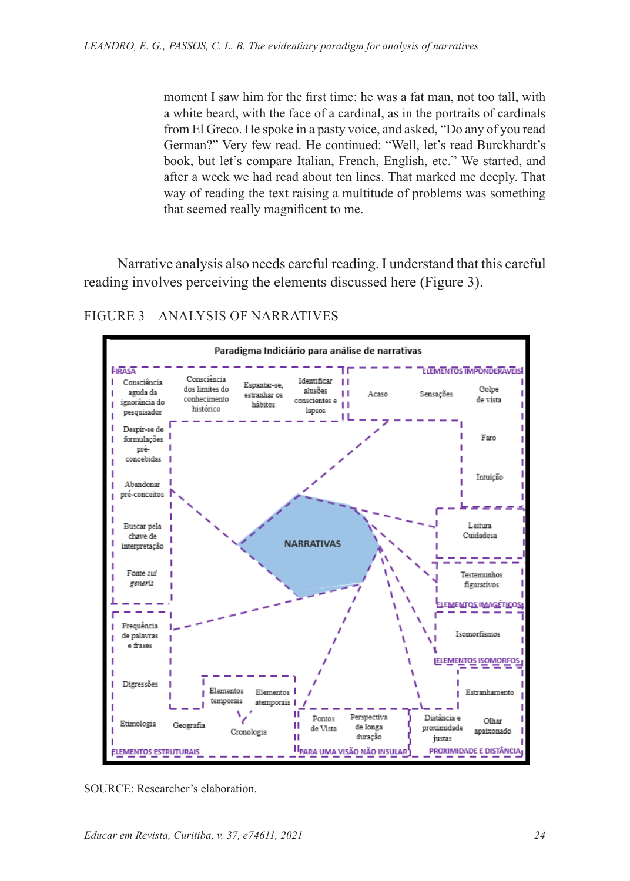moment I saw him for the first time: he was a fat man, not too tall, with a white beard, with the face of a cardinal, as in the portraits of cardinals from El Greco. He spoke in a pasty voice, and asked, "Do any of you read German?" Very few read. He continued: "Well, let's read Burckhardt's book, but let's compare Italian, French, English, etc." We started, and after a week we had read about ten lines. That marked me deeply. That way of reading the text raising a multitude of problems was something that seemed really magnificent to me.

Narrative analysis also needs careful reading. I understand that this careful reading involves perceiving the elements discussed here (Figure 3).



#### FIGURE 3 – ANALYSIS OF NARRATIVES

SOURCE: Researcher's elaboration.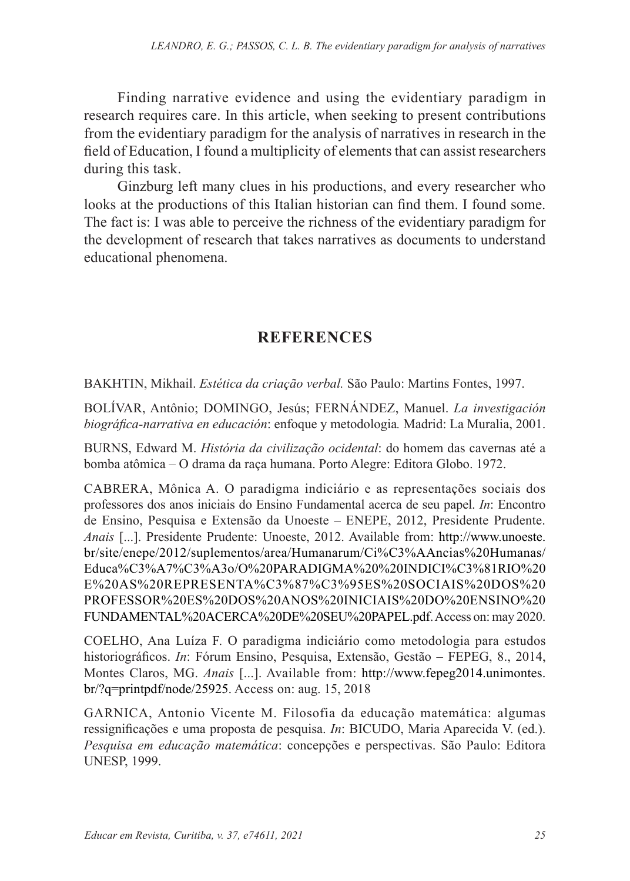Finding narrative evidence and using the evidentiary paradigm in research requires care. In this article, when seeking to present contributions from the evidentiary paradigm for the analysis of narratives in research in the field of Education, I found a multiplicity of elements that can assist researchers during this task.

Ginzburg left many clues in his productions, and every researcher who looks at the productions of this Italian historian can find them. I found some. The fact is: I was able to perceive the richness of the evidentiary paradigm for the development of research that takes narratives as documents to understand educational phenomena.

# **REFERENCES**

BAKHTIN, Mikhail. *Estética da criação verbal.* São Paulo: Martins Fontes, 1997.

BOLÍVAR, Antônio; DOMINGO, Jesús; FERNÁNDEZ, Manuel. *La investigación biográfica-narrativa en educación*: enfoque y metodologia*.* Madrid: La Muralia, 2001.

BURNS, Edward M. *História da civilização ocidental*: do homem das cavernas até a bomba atômica – O drama da raça humana. Porto Alegre: Editora Globo. 1972.

CABRERA, Mônica A. O paradigma indiciário e as representações sociais dos professores dos anos iniciais do Ensino Fundamental acerca de seu papel. *In*: Encontro de Ensino, Pesquisa e Extensão da Unoeste – ENEPE, 2012, Presidente Prudente. *Anais* [...]. Presidente Prudente: Unoeste, 2012. Available from: http://www.unoeste. br/site/enepe/2012/suplementos/area/Humanarum/Ci%C3%AAncias%20Humanas/ Educa%C3%A7%C3%A3o/O%20PARADIGMA%20%20INDICI%C3%81RIO%20 E%20AS%20REPRESENTA%C3%87%C3%95ES%20SOCIAIS%20DOS%20 PROFESSOR%20ES%20DOS%20ANOS%20INICIAIS%20DO%20ENSINO%20 FUNDAMENTAL%20ACERCA%20DE%20SEU%20PAPEL.pdf. Access on: may 2020.

COELHO, Ana Luíza F. O paradigma indiciário como metodologia para estudos historiográficos. *In*: Fórum Ensino, Pesquisa, Extensão, Gestão – FEPEG, 8., 2014, Montes Claros, MG. *Anais* [...]. Available from: http://www.fepeg2014.unimontes. br/?q=printpdf/node/25925. Access on: aug. 15, 2018

GARNICA, Antonio Vicente M. Filosofia da educação matemática: algumas ressignificações e uma proposta de pesquisa. *In*: BICUDO, Maria Aparecida V. (ed.). *Pesquisa em educação matemática*: concepções e perspectivas. São Paulo: Editora UNESP, 1999.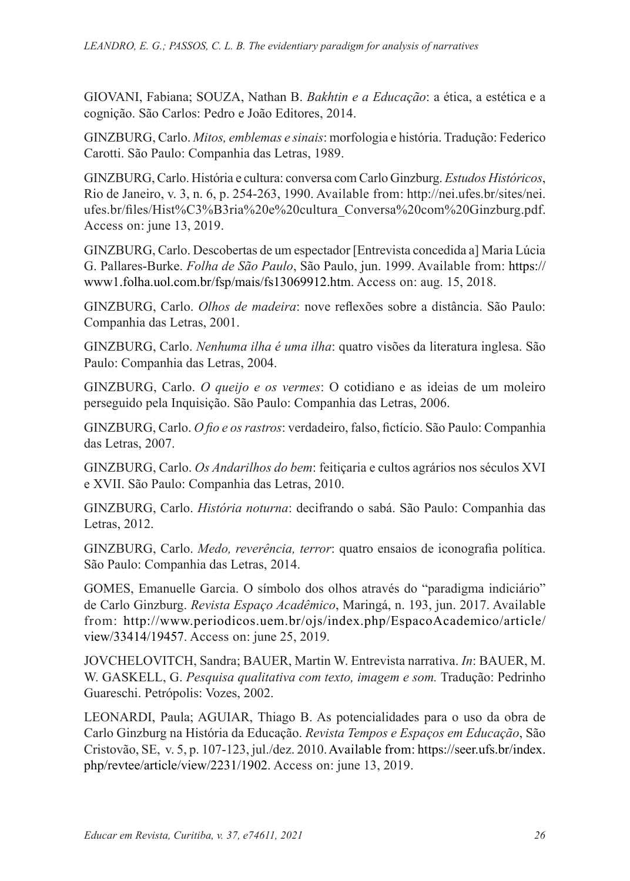GIOVANI, Fabiana; SOUZA, Nathan B. *Bakhtin e a Educação*: a ética, a estética e a cognição. São Carlos: Pedro e João Editores, 2014.

GINZBURG, Carlo. *Mitos, emblemas e sinais*: morfologia e história. Tradução: Federico Carotti. São Paulo: Companhia das Letras, 1989.

GINZBURG, Carlo. História e cultura: conversa com Carlo Ginzburg. *Estudos Históricos*, Rio de Janeiro, v. 3, n. 6, p. 254-263, 1990. Available from: http://nei.ufes.br/sites/nei. ufes.br/files/Hist%C3%B3ria%20e%20cultura\_Conversa%20com%20Ginzburg.pdf. Access on: june 13, 2019.

GINZBURG, Carlo. Descobertas de um espectador [Entrevista concedida a] Maria Lúcia G. Pallares-Burke. *Folha de São Paulo*, São Paulo, jun. 1999. Available from: https:// www1.folha.uol.com.br/fsp/mais/fs13069912.htm. Access on: aug. 15, 2018.

GINZBURG, Carlo. *Olhos de madeira*: nove reflexões sobre a distância. São Paulo: Companhia das Letras, 2001.

GINZBURG, Carlo. *Nenhuma ilha é uma ilha*: quatro visões da literatura inglesa. São Paulo: Companhia das Letras, 2004.

GINZBURG, Carlo. *O queijo e os vermes*: O cotidiano e as ideias de um moleiro perseguido pela Inquisição. São Paulo: Companhia das Letras, 2006.

GINZBURG, Carlo. *O fio e os rastros*: verdadeiro, falso, fictício. São Paulo: Companhia das Letras, 2007.

GINZBURG, Carlo. *Os Andarilhos do bem*: feitiçaria e cultos agrários nos séculos XVI e XVII. São Paulo: Companhia das Letras, 2010.

GINZBURG, Carlo. *História noturna*: decifrando o sabá. São Paulo: Companhia das Letras, 2012.

GINZBURG, Carlo. *Medo, reverência, terror*: quatro ensaios de iconografia política. São Paulo: Companhia das Letras, 2014.

GOMES, Emanuelle Garcia. O símbolo dos olhos através do "paradigma indiciário" de Carlo Ginzburg. *Revista Espaço Acadêmico*, Maringá, n. 193, jun. 2017. Available from: http://www.periodicos.uem.br/ojs/index.php/EspacoAcademico/article/ view/33414/19457. Access on: june 25, 2019.

JOVCHELOVITCH, Sandra; BAUER, Martin W. Entrevista narrativa. *In*: BAUER, M. W. GASKELL, G. *Pesquisa qualitativa com texto, imagem e som.* Tradução: Pedrinho Guareschi. Petrópolis: Vozes, 2002.

LEONARDI, Paula; AGUIAR, Thiago B. As potencialidades para o uso da obra de Carlo Ginzburg na História da Educação. *Revista Tempos e Espaços em Educação*, São Cristovão, SE, v. 5, p. 107-123, jul./dez. 2010. Available from: https://seer.ufs.br/index. php/revtee/article/view/2231/1902. Access on: june 13, 2019.